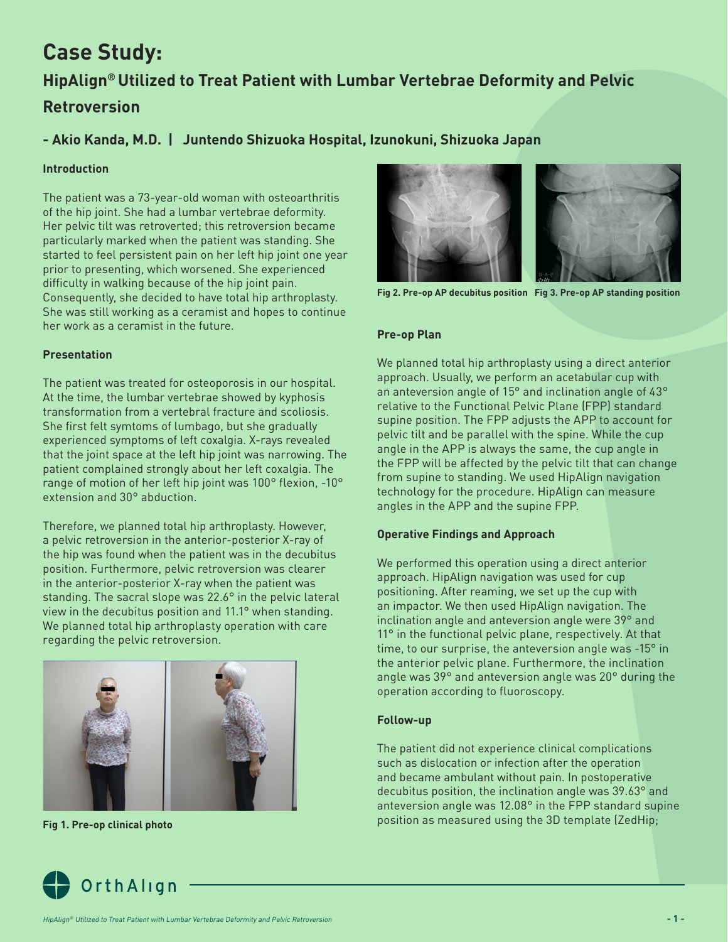# **Case Study:**

## **HipAlign® Utilized to Treat Patient with Lumbar Vertebrae Deformity and Pelvic Retroversion**

## **- Akio Kanda, M.D. | Juntendo Shizuoka Hospital, Izunokuni, Shizuoka Japan**

#### **Introduction**

The patient was a 73-year-old woman with osteoarthritis of the hip joint. She had a lumbar vertebrae deformity. Her pelvic tilt was retroverted; this retroversion became particularly marked when the patient was standing. She started to feel persistent pain on her left hip joint one year prior to presenting, which worsened. She experienced difficulty in walking because of the hip joint pain. Consequently, she decided to have total hip arthroplasty. She was still working as a ceramist and hopes to continue her work as a ceramist in the future.

#### **Presentation**

The patient was treated for osteoporosis in our hospital. At the time, the lumbar vertebrae showed by kyphosis transformation from a vertebral fracture and scoliosis. She first felt symtoms of lumbago, but she gradually experienced symptoms of left coxalgia. X-rays revealed that the joint space at the left hip joint was narrowing. The patient complained strongly about her left coxalgia. The range of motion of her left hip joint was 100° flexion, -10° extension and 30° abduction.

Therefore, we planned total hip arthroplasty. However, a pelvic retroversion in the anterior-posterior X-ray of the hip was found when the patient was in the decubitus position. Furthermore, pelvic retroversion was clearer in the anterior-posterior X-ray when the patient was standing. The sacral slope was 22.6° in the pelvic lateral view in the decubitus position and 11.1° when standing. We planned total hip arthroplasty operation with care regarding the pelvic retroversion.



**Fig 1. Pre-op clinical photo**





**Fig 2. Pre-op AP decubitus position Fig 3. Pre-op AP standing position**

#### **Pre-op Plan**

We planned total hip arthroplasty using a direct anterior approach. Usually, we perform an acetabular cup with an anteversion angle of 15° and inclination angle of 43° relative to the Functional Pelvic Plane (FPP) standard supine position. The FPP adjusts the APP to account for pelvic tilt and be parallel with the spine. While the cup angle in the APP is always the same, the cup angle in the FPP will be affected by the pelvic tilt that can change from supine to standing. We used HipAlign navigation technology for the procedure. HipAlign can measure angles in the APP and the supine FPP.

#### **Operative Findings and Approach**

We performed this operation using a direct anterior approach. HipAlign navigation was used for cup positioning. After reaming, we set up the cup with an impactor. We then used HipAlign navigation. The inclination angle and anteversion angle were 39° and 11° in the functional pelvic plane, respectively. At that time, to our surprise, the anteversion angle was -15° in the anterior pelvic plane. Furthermore, the inclination angle was 39° and anteversion angle was 20° during the operation according to fluoroscopy.

#### **Follow-up**

The patient did not experience clinical complications such as dislocation or infection after the operation and became ambulant without pain. In postoperative decubitus position, the inclination angle was 39.63° and anteversion angle was 12.08° in the FPP standard supine position as measured using the 3D template (ZedHip;